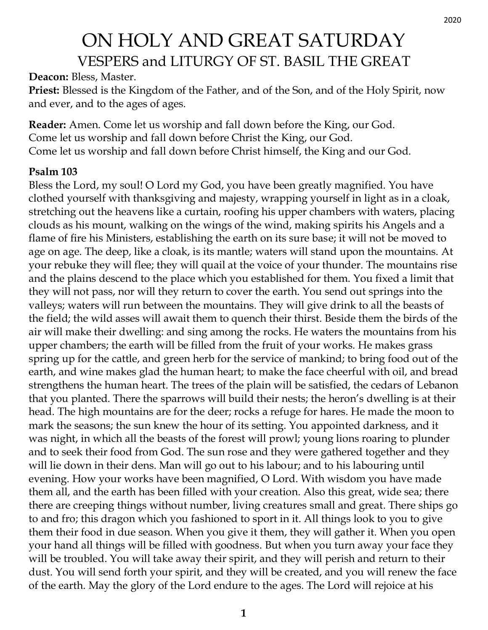# VESPERS and LITURGY OF ST. BASIL THE GREAT

**Deacon:** Bless, Master.

**Priest:** Blessed is the Kingdom of the Father, and of the Son, and of the Holy Spirit, now and ever, and to the ages of ages.

**Reader:** Amen. Come let us worship and fall down before the King, our God. Come let us worship and fall down before Christ the King, our God. Come let us worship and fall down before Christ himself, the King and our God.

## **Psalm 103**

Bless the Lord, my soul! O Lord my God, you have been greatly magnified. You have clothed yourself with thanksgiving and majesty, wrapping yourself in light as in a cloak, stretching out the heavens like a curtain, roofing his upper chambers with waters, placing clouds as his mount, walking on the wings of the wind, making spirits his Angels and a flame of fire his Ministers, establishing the earth on its sure base; it will not be moved to age on age. The deep, like a cloak, is its mantle; waters will stand upon the mountains. At your rebuke they will flee; they will quail at the voice of your thunder. The mountains rise and the plains descend to the place which you established for them. You fixed a limit that they will not pass, nor will they return to cover the earth. You send out springs into the valleys; waters will run between the mountains. They will give drink to all the beasts of the field; the wild asses will await them to quench their thirst. Beside them the birds of the air will make their dwelling: and sing among the rocks. He waters the mountains from his upper chambers; the earth will be filled from the fruit of your works. He makes grass spring up for the cattle, and green herb for the service of mankind; to bring food out of the earth, and wine makes glad the human heart; to make the face cheerful with oil, and bread strengthens the human heart. The trees of the plain will be satisfied, the cedars of Lebanon that you planted. There the sparrows will build their nests; the heron's dwelling is at their head. The high mountains are for the deer; rocks a refuge for hares. He made the moon to mark the seasons; the sun knew the hour of its setting. You appointed darkness, and it was night, in which all the beasts of the forest will prowl; young lions roaring to plunder and to seek their food from God. The sun rose and they were gathered together and they will lie down in their dens. Man will go out to his labour; and to his labouring until evening. How your works have been magnified, O Lord. With wisdom you have made them all, and the earth has been filled with your creation. Also this great, wide sea; there there are creeping things without number, living creatures small and great. There ships go to and fro; this dragon which you fashioned to sport in it. All things look to you to give them their food in due season. When you give it them, they will gather it. When you open your hand all things will be filled with goodness. But when you turn away your face they will be troubled. You will take away their spirit, and they will perish and return to their dust. You will send forth your spirit, and they will be created, and you will renew the face of the earth. May the glory of the Lord endure to the ages. The Lord will rejoice at his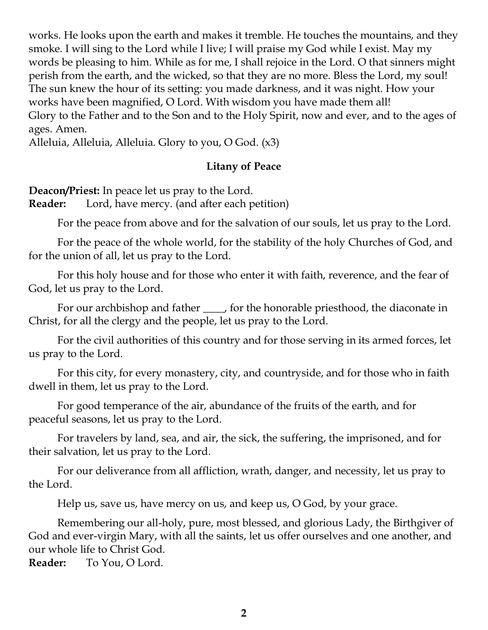works. He looks upon the earth and makes it tremble. He touches the mountains, and they smoke. I will sing to the Lord while I live; I will praise my God while I exist. May my words be pleasing to him. While as for me, I shall rejoice in the Lord. O that sinners might perish from the earth, and the wicked, so that they are no more. Bless the Lord, my soul! The sun knew the hour of its setting: you made darkness, and it was night. How your works have been magnified, O Lord. With wisdom you have made them all! Glory to the Father and to the Son and to the Holy Spirit, now and ever, and to the ages of ages. Amen.

Alleluia, Alleluia, Alleluia. Glory to you, O God. (x3)

#### **Litany of Peace**

**Deacon/Priest:** In peace let us pray to the Lord.

**Reader:** Lord, have mercy. (and after each petition)

For the peace from above and for the salvation of our souls, let us pray to the Lord.

For the peace of the whole world, for the stability of the holy Churches of God, and for the union of all, let us pray to the Lord.

For this holy house and for those who enter it with faith, reverence, and the fear of God, let us pray to the Lord.

For our archbishop and father \_\_\_\_, for the honorable priesthood, the diaconate in Christ, for all the clergy and the people, let us pray to the Lord.

For the civil authorities of this country and for those serving in its armed forces, let us pray to the Lord.

For this city, for every monastery, city, and countryside, and for those who in faith dwell in them, let us pray to the Lord.

For good temperance of the air, abundance of the fruits of the earth, and for peaceful seasons, let us pray to the Lord.

For travelers by land, sea, and air, the sick, the suffering, the imprisoned, and for their salvation, let us pray to the Lord.

For our deliverance from all affliction, wrath, danger, and necessity, let us pray to the Lord.

Help us, save us, have mercy on us, and keep us, O God, by your grace.

Remembering our all-holy, pure, most blessed, and glorious Lady, the Birthgiver of God and ever-virgin Mary, with all the saints, let us offer ourselves and one another, and our whole life to Christ God.

**Reader:** To You, O Lord.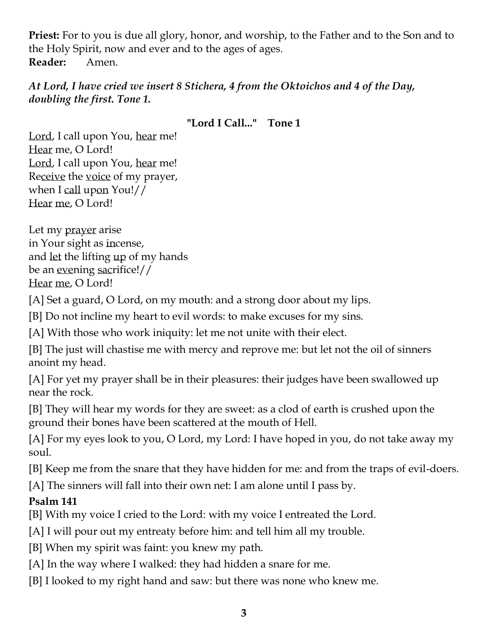**Priest:** For to you is due all glory, honor, and worship, to the Father and to the Son and to the Holy Spirit, now and ever and to the ages of ages. **Reader:** Amen.

*At Lord, I have cried we insert 8 Stichera, 4 from the Oktoichos and 4 of the Day, doubling the first. Tone 1.*

## **"Lord I Call..." Tone 1**

Lord, I call upon You, hear me! Hear me, O Lord! Lord, I call upon You, hear me! Receive the voice of my prayer, when I call upon You!// Hear me, O Lord!

Let my prayer arise in Your sight as incense, and let the lifting up of my hands be an evening sacrifice!// Hear me, O Lord!

[A] Set a guard, O Lord, on my mouth: and a strong door about my lips.

[B] Do not incline my heart to evil words: to make excuses for my sins.

[A] With those who work iniquity: let me not unite with their elect.

[B] The just will chastise me with mercy and reprove me: but let not the oil of sinners anoint my head.

[A] For yet my prayer shall be in their pleasures: their judges have been swallowed up near the rock.

[B] They will hear my words for they are sweet: as a clod of earth is crushed upon the ground their bones have been scattered at the mouth of Hell.

[A] For my eyes look to you, O Lord, my Lord: I have hoped in you, do not take away my soul.

[B] Keep me from the snare that they have hidden for me: and from the traps of evil-doers.

[A] The sinners will fall into their own net: I am alone until I pass by.

# **Psalm 141**

[B] With my voice I cried to the Lord: with my voice I entreated the Lord.

[A] I will pour out my entreaty before him: and tell him all my trouble.

[B] When my spirit was faint: you knew my path.

[A] In the way where I walked: they had hidden a snare for me.

[B] I looked to my right hand and saw: but there was none who knew me.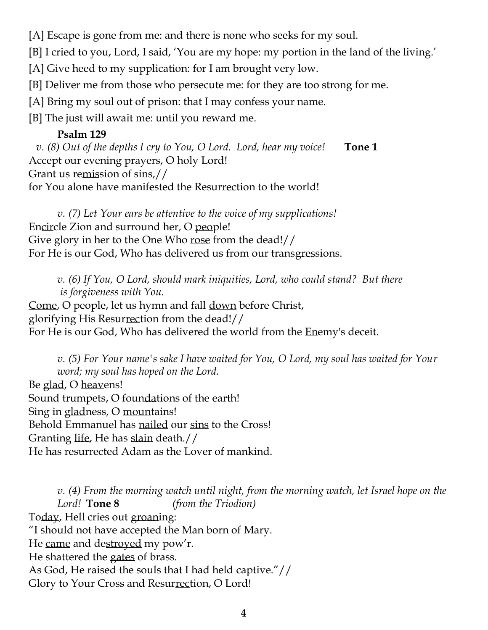[A] Escape is gone from me: and there is none who seeks for my soul.

[B] I cried to you, Lord, I said, 'You are my hope: my portion in the land of the living.'

[A] Give heed to my supplication: for I am brought very low.

[B] Deliver me from those who persecute me: for they are too strong for me.

[A] Bring my soul out of prison: that I may confess your name.

[B] The just will await me: until you reward me.

## **Psalm 129**

*v. (8) Out of the depths I cry to You, O Lord. Lord, hear my voice!* **Tone 1** Accept our evening prayers, O holy Lord! Grant us remission of sins,// for You alone have manifested the Resurrection to the world!

*v. (7) Let Your ears be attentive to the voice of my supplications!* Encircle Zion and surround her, O people! Give glory in her to the One Who rose from the dead!// For He is our God, Who has delivered us from our transgressions.

*v. (6) If You, O Lord, should mark iniquities, Lord, who could stand? But there is forgiveness with You.*  Come, O people, let us hymn and fall down before Christ, glorifying His Resurrection from the dead!// For He is our God, Who has delivered the world from the Enemy's deceit.

*v. (5) For Your name's sake I have waited for You, O Lord, my soul has waited for Your word; my soul has hoped on the Lord.* 

Be glad, O heavens! Sound trumpets, O foundations of the earth! Sing in gladness, O mountains! Behold Emmanuel has nailed our sins to the Cross! Granting life, He has slain death.// He has resurrected Adam as the Lover of mankind.

> *v. (4) From the morning watch until night, from the morning watch, let Israel hope on the Lord!* **Tone 8** *(from the Triodion)*

Today, Hell cries out groaning:

"I should not have accepted the Man born of Mary.

He came and destroyed my pow'r.

He shattered the gates of brass.

As God, He raised the souls that I had held captive."//

Glory to Your Cross and Resurrection, O Lord!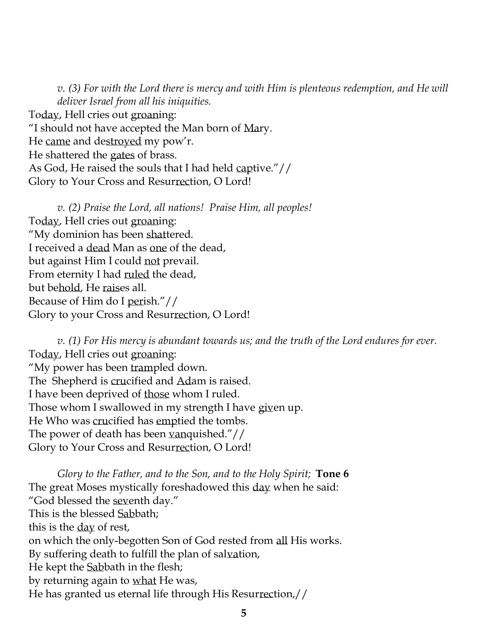*v.* (3) For with the Lord there is mercy and with Him is plenteous redemption, and He will *deliver Israel from all his iniquities.* Today, Hell cries out groaning: "I should not have accepted the Man born of Mary. He came and destroyed my pow'r. He shattered the gates of brass. As God, He raised the souls that I had held captive."// Glory to Your Cross and Resurrection, O Lord!

*v. (2) Praise the Lord, all nations! Praise Him, all peoples!* Today, Hell cries out groaning: "My dominion has been shattered. I received a dead Man as one of the dead, but against Him I could not prevail. From eternity I had ruled the dead, but behold, He raises all. Because of Him do I perish."// Glory to your Cross and Resurrection, O Lord!

*v. (1) For His mercy is abundant towards us; and the truth of the Lord endures for ever.*  Today, Hell cries out groaning: "My power has been trampled down. The Shepherd is crucified and Adam is raised. I have been deprived of those whom I ruled. Those whom I swallowed in my strength I have given up. He Who was crucified has emptied the tombs. The power of death has been vanquished."// Glory to Your Cross and Resurrection, O Lord!

*Glory to the Father, and to the Son, and to the Holy Spirit;* **Tone 6** The great Moses mystically foreshadowed this day when he said: "God blessed the seventh day." This is the blessed Sabbath; this is the day of rest, on which the only-begotten Son of God rested from all His works. By suffering death to fulfill the plan of salvation, He kept the Sabbath in the flesh; by returning again to what He was, He has granted us eternal life through His Resurrection,//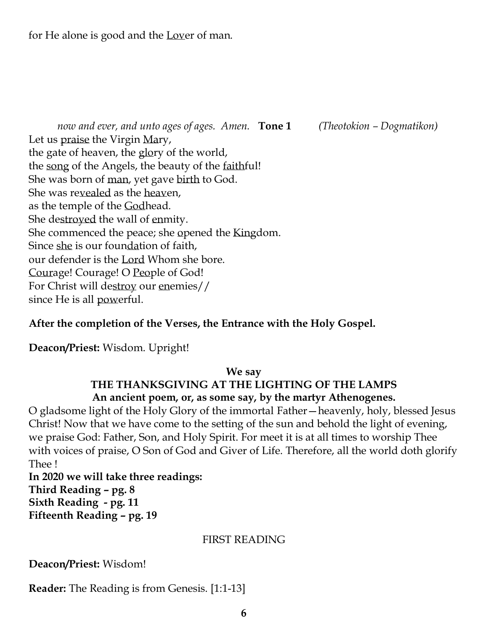for He alone is good and the Lover of man.

*now and ever, and unto ages of ages. Amen.* **Tone 1** *(Theotokion – Dogmatikon)* Let us praise the Virgin Mary, the gate of heaven, the glory of the world, the song of the Angels, the beauty of the faithful! She was born of man, yet gave birth to God. She was revealed as the heaven, as the temple of the Godhead. She destroyed the wall of enmity. She commenced the peace; she opened the Kingdom. Since she is our foundation of faith, our defender is the Lord Whom she bore. Courage! Courage! O People of God! For Christ will destroy our enemies// since He is all powerful.

## **After the completion of the Verses, the Entrance with the Holy Gospel.**

**Deacon/Priest:** Wisdom. Upright!

#### **We say**

## **THE THANKSGIVING AT THE LIGHTING OF THE LAMPS An ancient poem, or, as some say, by the martyr Athenogenes.**

O gladsome light of the Holy Glory of the immortal Father—heavenly, holy, blessed Jesus Christ! Now that we have come to the setting of the sun and behold the light of evening, we praise God: Father, Son, and Holy Spirit. For meet it is at all times to worship Thee with voices of praise, O Son of God and Giver of Life. Therefore, all the world doth glorify Thee !

**In 2020 we will take three readings: Third Reading – pg. 8 Sixth Reading - pg. 11 Fifteenth Reading – pg. 19**

#### FIRST READING

**Deacon/Priest:** Wisdom!

**Reader:** The Reading is from Genesis. [1:1-13]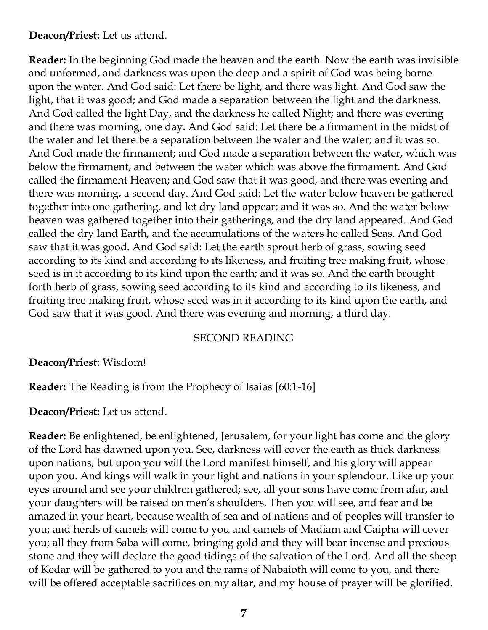### **Deacon/Priest:** Let us attend.

**Reader:** In the beginning God made the heaven and the earth. Now the earth was invisible and unformed, and darkness was upon the deep and a spirit of God was being borne upon the water. And God said: Let there be light, and there was light. And God saw the light, that it was good; and God made a separation between the light and the darkness. And God called the light Day, and the darkness he called Night; and there was evening and there was morning, one day. And God said: Let there be a firmament in the midst of the water and let there be a separation between the water and the water; and it was so. And God made the firmament; and God made a separation between the water, which was below the firmament, and between the water which was above the firmament. And God called the firmament Heaven; and God saw that it was good, and there was evening and there was morning, a second day. And God said: Let the water below heaven be gathered together into one gathering, and let dry land appear; and it was so. And the water below heaven was gathered together into their gatherings, and the dry land appeared. And God called the dry land Earth, and the accumulations of the waters he called Seas. And God saw that it was good. And God said: Let the earth sprout herb of grass, sowing seed according to its kind and according to its likeness, and fruiting tree making fruit, whose seed is in it according to its kind upon the earth; and it was so. And the earth brought forth herb of grass, sowing seed according to its kind and according to its likeness, and fruiting tree making fruit, whose seed was in it according to its kind upon the earth, and God saw that it was good. And there was evening and morning, a third day.

### SECOND READING

## **Deacon/Priest:** Wisdom!

**Reader:** The Reading is from the Prophecy of Isaias [60:1-16]

### **Deacon/Priest:** Let us attend.

**Reader:** Be enlightened, be enlightened, Jerusalem, for your light has come and the glory of the Lord has dawned upon you. See, darkness will cover the earth as thick darkness upon nations; but upon you will the Lord manifest himself, and his glory will appear upon you. And kings will walk in your light and nations in your splendour. Like up your eyes around and see your children gathered; see, all your sons have come from afar, and your daughters will be raised on men's shoulders. Then you will see, and fear and be amazed in your heart, because wealth of sea and of nations and of peoples will transfer to you; and herds of camels will come to you and camels of Madiam and Gaipha will cover you; all they from Saba will come, bringing gold and they will bear incense and precious stone and they will declare the good tidings of the salvation of the Lord. And all the sheep of Kedar will be gathered to you and the rams of Nabaioth will come to you, and there will be offered acceptable sacrifices on my altar, and my house of prayer will be glorified.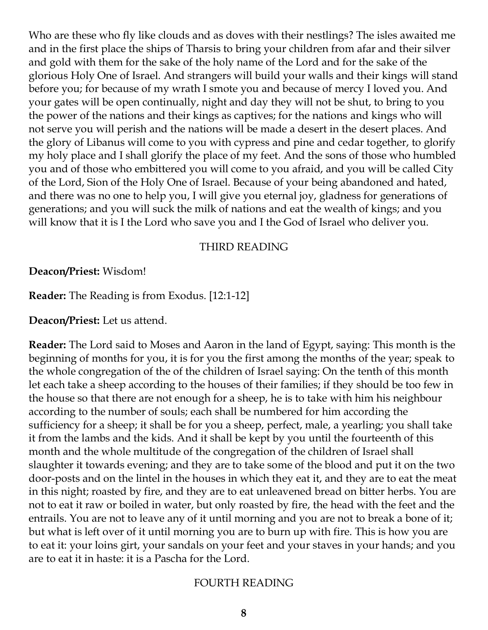Who are these who fly like clouds and as doves with their nestlings? The isles awaited me and in the first place the ships of Tharsis to bring your children from afar and their silver and gold with them for the sake of the holy name of the Lord and for the sake of the glorious Holy One of Israel. And strangers will build your walls and their kings will stand before you; for because of my wrath I smote you and because of mercy I loved you. And your gates will be open continually, night and day they will not be shut, to bring to you the power of the nations and their kings as captives; for the nations and kings who will not serve you will perish and the nations will be made a desert in the desert places. And the glory of Libanus will come to you with cypress and pine and cedar together, to glorify my holy place and I shall glorify the place of my feet. And the sons of those who humbled you and of those who embittered you will come to you afraid, and you will be called City of the Lord, Sion of the Holy One of Israel. Because of your being abandoned and hated, and there was no one to help you, I will give you eternal joy, gladness for generations of generations; and you will suck the milk of nations and eat the wealth of kings; and you will know that it is I the Lord who save you and I the God of Israel who deliver you.

#### THIRD READING

**Deacon/Priest:** Wisdom!

**Reader:** The Reading is from Exodus. [12:1-12]

**Deacon/Priest:** Let us attend.

**Reader:** The Lord said to Moses and Aaron in the land of Egypt, saying: This month is the beginning of months for you, it is for you the first among the months of the year; speak to the whole congregation of the of the children of Israel saying: On the tenth of this month let each take a sheep according to the houses of their families; if they should be too few in the house so that there are not enough for a sheep, he is to take with him his neighbour according to the number of souls; each shall be numbered for him according the sufficiency for a sheep; it shall be for you a sheep, perfect, male, a yearling; you shall take it from the lambs and the kids. And it shall be kept by you until the fourteenth of this month and the whole multitude of the congregation of the children of Israel shall slaughter it towards evening; and they are to take some of the blood and put it on the two door-posts and on the lintel in the houses in which they eat it, and they are to eat the meat in this night; roasted by fire, and they are to eat unleavened bread on bitter herbs. You are not to eat it raw or boiled in water, but only roasted by fire, the head with the feet and the entrails. You are not to leave any of it until morning and you are not to break a bone of it; but what is left over of it until morning you are to burn up with fire. This is how you are to eat it: your loins girt, your sandals on your feet and your staves in your hands; and you are to eat it in haste: it is a Pascha for the Lord.

#### FOURTH READING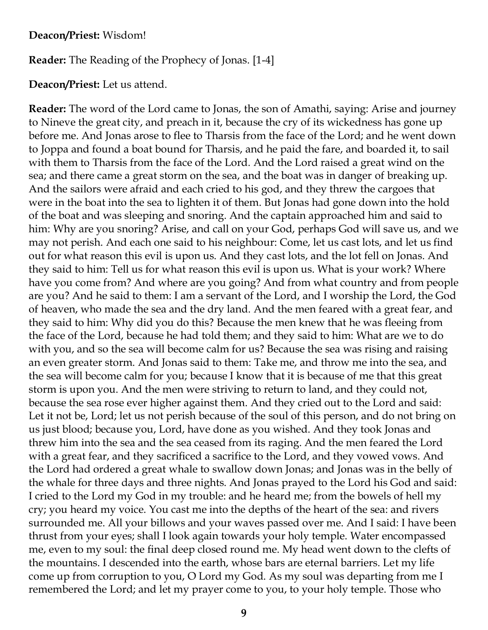**Deacon/Priest:** Wisdom!

#### **Reader:** The Reading of the Prophecy of Jonas. [1-4]

**Deacon/Priest:** Let us attend.

**Reader:** The word of the Lord came to Jonas, the son of Amathi, saying: Arise and journey to Nineve the great city, and preach in it, because the cry of its wickedness has gone up before me. And Jonas arose to flee to Tharsis from the face of the Lord; and he went down to Joppa and found a boat bound for Tharsis, and he paid the fare, and boarded it, to sail with them to Tharsis from the face of the Lord. And the Lord raised a great wind on the sea; and there came a great storm on the sea, and the boat was in danger of breaking up. And the sailors were afraid and each cried to his god, and they threw the cargoes that were in the boat into the sea to lighten it of them. But Jonas had gone down into the hold of the boat and was sleeping and snoring. And the captain approached him and said to him: Why are you snoring? Arise, and call on your God, perhaps God will save us, and we may not perish. And each one said to his neighbour: Come, let us cast lots, and let us find out for what reason this evil is upon us. And they cast lots, and the lot fell on Jonas. And they said to him: Tell us for what reason this evil is upon us. What is your work? Where have you come from? And where are you going? And from what country and from people are you? And he said to them: I am a servant of the Lord, and I worship the Lord, the God of heaven, who made the sea and the dry land. And the men feared with a great fear, and they said to him: Why did you do this? Because the men knew that he was fleeing from the face of the Lord, because he had told them; and they said to him: What are we to do with you, and so the sea will become calm for us? Because the sea was rising and raising an even greater storm. And Jonas said to them: Take me, and throw me into the sea, and the sea will become calm for you; because I know that it is because of me that this great storm is upon you. And the men were striving to return to land, and they could not, because the sea rose ever higher against them. And they cried out to the Lord and said: Let it not be, Lord; let us not perish because of the soul of this person, and do not bring on us just blood; because you, Lord, have done as you wished. And they took Jonas and threw him into the sea and the sea ceased from its raging. And the men feared the Lord with a great fear, and they sacrificed a sacrifice to the Lord, and they vowed vows. And the Lord had ordered a great whale to swallow down Jonas; and Jonas was in the belly of the whale for three days and three nights. And Jonas prayed to the Lord his God and said: I cried to the Lord my God in my trouble: and he heard me; from the bowels of hell my cry; you heard my voice. You cast me into the depths of the heart of the sea: and rivers surrounded me. All your billows and your waves passed over me. And I said: I have been thrust from your eyes; shall I look again towards your holy temple. Water encompassed me, even to my soul: the final deep closed round me. My head went down to the clefts of the mountains. I descended into the earth, whose bars are eternal barriers. Let my life come up from corruption to you, O Lord my God. As my soul was departing from me I remembered the Lord; and let my prayer come to you, to your holy temple. Those who

**9**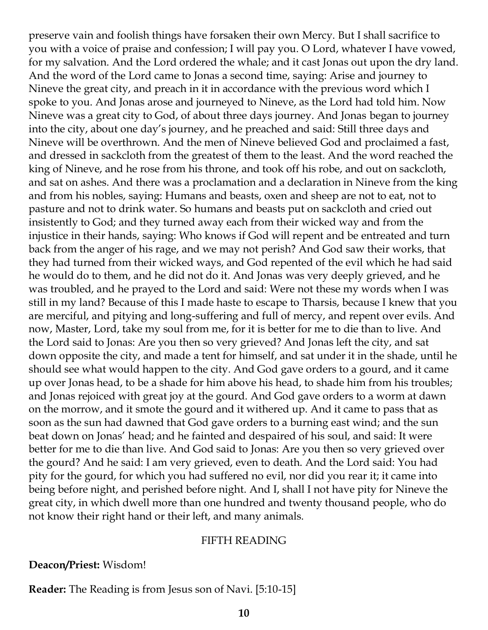preserve vain and foolish things have forsaken their own Mercy. But I shall sacrifice to you with a voice of praise and confession; I will pay you. O Lord, whatever I have vowed, for my salvation. And the Lord ordered the whale; and it cast Jonas out upon the dry land. And the word of the Lord came to Jonas a second time, saying: Arise and journey to Nineve the great city, and preach in it in accordance with the previous word which I spoke to you. And Jonas arose and journeyed to Nineve, as the Lord had told him. Now Nineve was a great city to God, of about three days journey. And Jonas began to journey into the city, about one day's journey, and he preached and said: Still three days and Nineve will be overthrown. And the men of Nineve believed God and proclaimed a fast, and dressed in sackcloth from the greatest of them to the least. And the word reached the king of Nineve, and he rose from his throne, and took off his robe, and out on sackcloth, and sat on ashes. And there was a proclamation and a declaration in Nineve from the king and from his nobles, saying: Humans and beasts, oxen and sheep are not to eat, not to pasture and not to drink water. So humans and beasts put on sackcloth and cried out insistently to God; and they turned away each from their wicked way and from the injustice in their hands, saying: Who knows if God will repent and be entreated and turn back from the anger of his rage, and we may not perish? And God saw their works, that they had turned from their wicked ways, and God repented of the evil which he had said he would do to them, and he did not do it. And Jonas was very deeply grieved, and he was troubled, and he prayed to the Lord and said: Were not these my words when I was still in my land? Because of this I made haste to escape to Tharsis, because I knew that you are merciful, and pitying and long-suffering and full of mercy, and repent over evils. And now, Master, Lord, take my soul from me, for it is better for me to die than to live. And the Lord said to Jonas: Are you then so very grieved? And Jonas left the city, and sat down opposite the city, and made a tent for himself, and sat under it in the shade, until he should see what would happen to the city. And God gave orders to a gourd, and it came up over Jonas head, to be a shade for him above his head, to shade him from his troubles; and Jonas rejoiced with great joy at the gourd. And God gave orders to a worm at dawn on the morrow, and it smote the gourd and it withered up. And it came to pass that as soon as the sun had dawned that God gave orders to a burning east wind; and the sun beat down on Jonas' head; and he fainted and despaired of his soul, and said: It were better for me to die than live. And God said to Jonas: Are you then so very grieved over the gourd? And he said: I am very grieved, even to death. And the Lord said: You had pity for the gourd, for which you had suffered no evil, nor did you rear it; it came into being before night, and perished before night. And I, shall I not have pity for Nineve the great city, in which dwell more than one hundred and twenty thousand people, who do not know their right hand or their left, and many animals.

#### FIFTH READING

#### **Deacon/Priest:** Wisdom!

**Reader:** The Reading is from Jesus son of Navi. [5:10-15]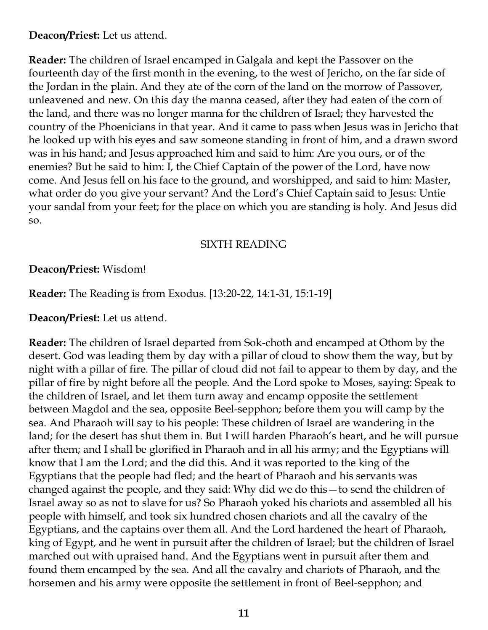**Deacon/Priest:** Let us attend.

**Reader:** The children of Israel encamped in Galgala and kept the Passover on the fourteenth day of the first month in the evening, to the west of Jericho, on the far side of the Jordan in the plain. And they ate of the corn of the land on the morrow of Passover, unleavened and new. On this day the manna ceased, after they had eaten of the corn of the land, and there was no longer manna for the children of Israel; they harvested the country of the Phoenicians in that year. And it came to pass when Jesus was in Jericho that he looked up with his eyes and saw someone standing in front of him, and a drawn sword was in his hand; and Jesus approached him and said to him: Are you ours, or of the enemies? But he said to him: I, the Chief Captain of the power of the Lord, have now come. And Jesus fell on his face to the ground, and worshipped, and said to him: Master, what order do you give your servant? And the Lord's Chief Captain said to Jesus: Untie your sandal from your feet; for the place on which you are standing is holy. And Jesus did so.

### SIXTH READING

### **Deacon/Priest:** Wisdom!

**Reader:** The Reading is from Exodus. [13:20-22, 14:1-31, 15:1-19]

**Deacon/Priest:** Let us attend.

**Reader:** The children of Israel departed from Sok-choth and encamped at Othom by the desert. God was leading them by day with a pillar of cloud to show them the way, but by night with a pillar of fire. The pillar of cloud did not fail to appear to them by day, and the pillar of fire by night before all the people. And the Lord spoke to Moses, saying: Speak to the children of Israel, and let them turn away and encamp opposite the settlement between Magdol and the sea, opposite Beel-sepphon; before them you will camp by the sea. And Pharaoh will say to his people: These children of Israel are wandering in the land; for the desert has shut them in. But I will harden Pharaoh's heart, and he will pursue after them; and I shall be glorified in Pharaoh and in all his army; and the Egyptians will know that I am the Lord; and the did this. And it was reported to the king of the Egyptians that the people had fled; and the heart of Pharaoh and his servants was changed against the people, and they said: Why did we do this—to send the children of Israel away so as not to slave for us? So Pharaoh yoked his chariots and assembled all his people with himself, and took six hundred chosen chariots and all the cavalry of the Egyptians, and the captains over them all. And the Lord hardened the heart of Pharaoh, king of Egypt, and he went in pursuit after the children of Israel; but the children of Israel marched out with upraised hand. And the Egyptians went in pursuit after them and found them encamped by the sea. And all the cavalry and chariots of Pharaoh, and the horsemen and his army were opposite the settlement in front of Beel-sepphon; and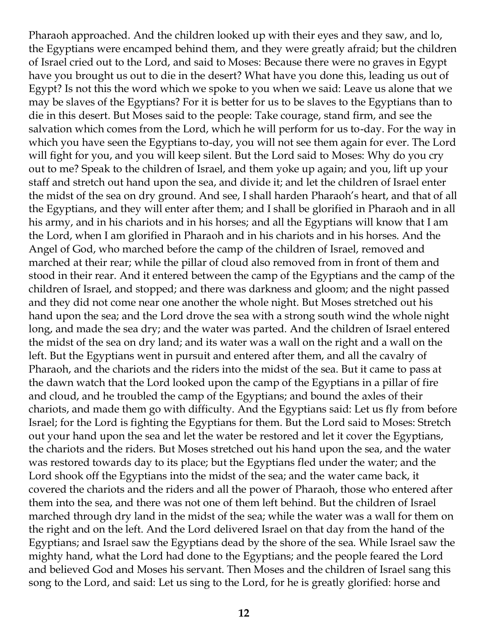Pharaoh approached. And the children looked up with their eyes and they saw, and lo, the Egyptians were encamped behind them, and they were greatly afraid; but the children of Israel cried out to the Lord, and said to Moses: Because there were no graves in Egypt have you brought us out to die in the desert? What have you done this, leading us out of Egypt? Is not this the word which we spoke to you when we said: Leave us alone that we may be slaves of the Egyptians? For it is better for us to be slaves to the Egyptians than to die in this desert. But Moses said to the people: Take courage, stand firm, and see the salvation which comes from the Lord, which he will perform for us to-day. For the way in which you have seen the Egyptians to-day, you will not see them again for ever. The Lord will fight for you, and you will keep silent. But the Lord said to Moses: Why do you cry out to me? Speak to the children of Israel, and them yoke up again; and you, lift up your staff and stretch out hand upon the sea, and divide it; and let the children of Israel enter the midst of the sea on dry ground. And see, I shall harden Pharaoh's heart, and that of all the Egyptians, and they will enter after them; and I shall be glorified in Pharaoh and in all his army, and in his chariots and in his horses; and all the Egyptians will know that I am the Lord, when I am glorified in Pharaoh and in his chariots and in his horses. And the Angel of God, who marched before the camp of the children of Israel, removed and marched at their rear; while the pillar of cloud also removed from in front of them and stood in their rear. And it entered between the camp of the Egyptians and the camp of the children of Israel, and stopped; and there was darkness and gloom; and the night passed and they did not come near one another the whole night. But Moses stretched out his hand upon the sea; and the Lord drove the sea with a strong south wind the whole night long, and made the sea dry; and the water was parted. And the children of Israel entered the midst of the sea on dry land; and its water was a wall on the right and a wall on the left. But the Egyptians went in pursuit and entered after them, and all the cavalry of Pharaoh, and the chariots and the riders into the midst of the sea. But it came to pass at the dawn watch that the Lord looked upon the camp of the Egyptians in a pillar of fire and cloud, and he troubled the camp of the Egyptians; and bound the axles of their chariots, and made them go with difficulty. And the Egyptians said: Let us fly from before Israel; for the Lord is fighting the Egyptians for them. But the Lord said to Moses: Stretch out your hand upon the sea and let the water be restored and let it cover the Egyptians, the chariots and the riders. But Moses stretched out his hand upon the sea, and the water was restored towards day to its place; but the Egyptians fled under the water; and the Lord shook off the Egyptians into the midst of the sea; and the water came back, it covered the chariots and the riders and all the power of Pharaoh, those who entered after them into the sea, and there was not one of them left behind. But the children of Israel marched through dry land in the midst of the sea; while the water was a wall for them on the right and on the left. And the Lord delivered Israel on that day from the hand of the Egyptians; and Israel saw the Egyptians dead by the shore of the sea. While Israel saw the mighty hand, what the Lord had done to the Egyptians; and the people feared the Lord and believed God and Moses his servant. Then Moses and the children of Israel sang this song to the Lord, and said: Let us sing to the Lord, for he is greatly glorified: horse and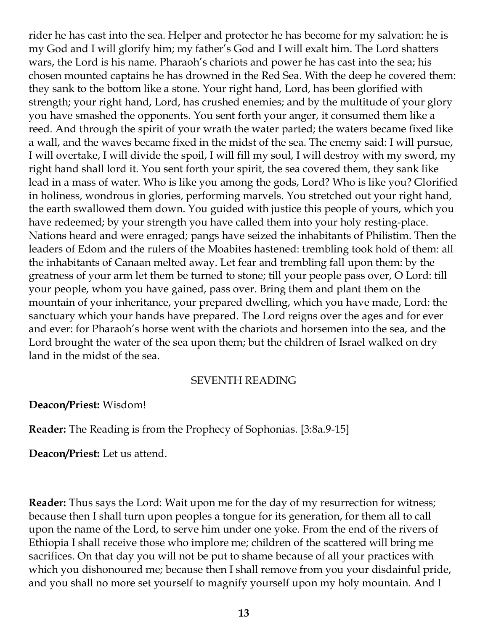rider he has cast into the sea. Helper and protector he has become for my salvation: he is my God and I will glorify him; my father's God and I will exalt him. The Lord shatters wars, the Lord is his name. Pharaoh's chariots and power he has cast into the sea; his chosen mounted captains he has drowned in the Red Sea. With the deep he covered them: they sank to the bottom like a stone. Your right hand, Lord, has been glorified with strength; your right hand, Lord, has crushed enemies; and by the multitude of your glory you have smashed the opponents. You sent forth your anger, it consumed them like a reed. And through the spirit of your wrath the water parted; the waters became fixed like a wall, and the waves became fixed in the midst of the sea. The enemy said: I will pursue, I will overtake, I will divide the spoil, I will fill my soul, I will destroy with my sword, my right hand shall lord it. You sent forth your spirit, the sea covered them, they sank like lead in a mass of water. Who is like you among the gods, Lord? Who is like you? Glorified in holiness, wondrous in glories, performing marvels. You stretched out your right hand, the earth swallowed them down. You guided with justice this people of yours, which you have redeemed; by your strength you have called them into your holy resting-place. Nations heard and were enraged; pangs have seized the inhabitants of Philistim. Then the leaders of Edom and the rulers of the Moabites hastened: trembling took hold of them: all the inhabitants of Canaan melted away. Let fear and trembling fall upon them: by the greatness of your arm let them be turned to stone; till your people pass over, O Lord: till your people, whom you have gained, pass over. Bring them and plant them on the mountain of your inheritance, your prepared dwelling, which you have made, Lord: the sanctuary which your hands have prepared. The Lord reigns over the ages and for ever and ever: for Pharaoh's horse went with the chariots and horsemen into the sea, and the Lord brought the water of the sea upon them; but the children of Israel walked on dry land in the midst of the sea.

#### SEVENTH READING

**Deacon/Priest:** Wisdom!

**Reader:** The Reading is from the Prophecy of Sophonias. [3:8a.9-15]

**Deacon/Priest:** Let us attend.

**Reader:** Thus says the Lord: Wait upon me for the day of my resurrection for witness; because then I shall turn upon peoples a tongue for its generation, for them all to call upon the name of the Lord, to serve him under one yoke. From the end of the rivers of Ethiopia I shall receive those who implore me; children of the scattered will bring me sacrifices. On that day you will not be put to shame because of all your practices with which you dishonoured me; because then I shall remove from you your disdainful pride, and you shall no more set yourself to magnify yourself upon my holy mountain. And I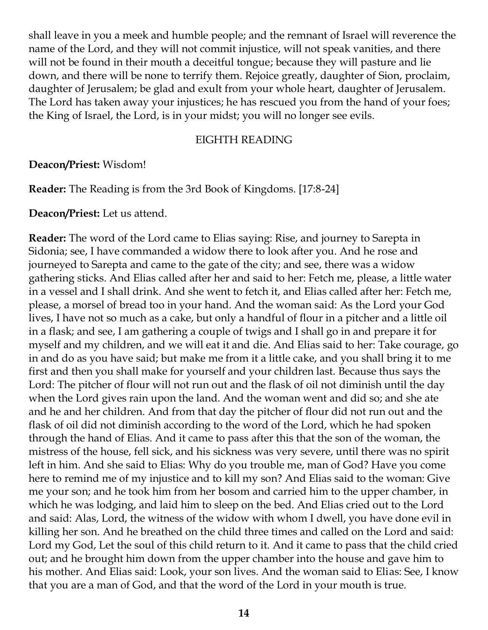shall leave in you a meek and humble people; and the remnant of Israel will reverence the name of the Lord, and they will not commit injustice, will not speak vanities, and there will not be found in their mouth a deceitful tongue; because they will pasture and lie down, and there will be none to terrify them. Rejoice greatly, daughter of Sion, proclaim, daughter of Jerusalem; be glad and exult from your whole heart, daughter of Jerusalem. The Lord has taken away your injustices; he has rescued you from the hand of your foes; the King of Israel, the Lord, is in your midst; you will no longer see evils.

#### EIGHTH READING

#### **Deacon/Priest:** Wisdom!

**Reader:** The Reading is from the 3rd Book of Kingdoms. [17:8-24]

#### **Deacon/Priest:** Let us attend.

**Reader:** The word of the Lord came to Elias saying: Rise, and journey to Sarepta in Sidonia; see, I have commanded a widow there to look after you. And he rose and journeyed to Sarepta and came to the gate of the city; and see, there was a widow gathering sticks. And Elias called after her and said to her: Fetch me, please, a little water in a vessel and I shall drink. And she went to fetch it, and Elias called after her: Fetch me, please, a morsel of bread too in your hand. And the woman said: As the Lord your God lives, I have not so much as a cake, but only a handful of flour in a pitcher and a little oil in a flask; and see, I am gathering a couple of twigs and I shall go in and prepare it for myself and my children, and we will eat it and die. And Elias said to her: Take courage, go in and do as you have said; but make me from it a little cake, and you shall bring it to me first and then you shall make for yourself and your children last. Because thus says the Lord: The pitcher of flour will not run out and the flask of oil not diminish until the day when the Lord gives rain upon the land. And the woman went and did so; and she ate and he and her children. And from that day the pitcher of flour did not run out and the flask of oil did not diminish according to the word of the Lord, which he had spoken through the hand of Elias. And it came to pass after this that the son of the woman, the mistress of the house, fell sick, and his sickness was very severe, until there was no spirit left in him. And she said to Elias: Why do you trouble me, man of God? Have you come here to remind me of my injustice and to kill my son? And Elias said to the woman: Give me your son; and he took him from her bosom and carried him to the upper chamber, in which he was lodging, and laid him to sleep on the bed. And Elias cried out to the Lord and said: Alas, Lord, the witness of the widow with whom I dwell, you have done evil in killing her son. And he breathed on the child three times and called on the Lord and said: Lord my God, Let the soul of this child return to it. And it came to pass that the child cried out; and he brought him down from the upper chamber into the house and gave him to his mother. And Elias said: Look, your son lives. And the woman said to Elias: See, I know that you are a man of God, and that the word of the Lord in your mouth is true.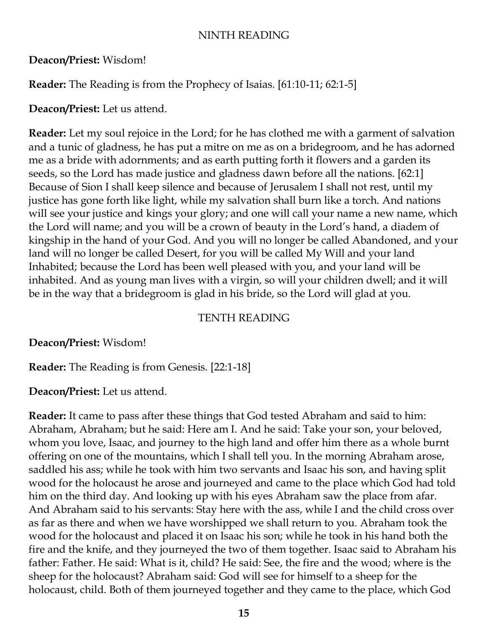### NINTH READING

## **Deacon/Priest:** Wisdom!

**Reader:** The Reading is from the Prophecy of Isaias. [61:10-11; 62:1-5]

## **Deacon/Priest:** Let us attend.

**Reader:** Let my soul rejoice in the Lord; for he has clothed me with a garment of salvation and a tunic of gladness, he has put a mitre on me as on a bridegroom, and he has adorned me as a bride with adornments; and as earth putting forth it flowers and a garden its seeds, so the Lord has made justice and gladness dawn before all the nations. [62:1] Because of Sion I shall keep silence and because of Jerusalem I shall not rest, until my justice has gone forth like light, while my salvation shall burn like a torch. And nations will see your justice and kings your glory; and one will call your name a new name, which the Lord will name; and you will be a crown of beauty in the Lord's hand, a diadem of kingship in the hand of your God. And you will no longer be called Abandoned, and your land will no longer be called Desert, for you will be called My Will and your land Inhabited; because the Lord has been well pleased with you, and your land will be inhabited. And as young man lives with a virgin, so will your children dwell; and it will be in the way that a bridegroom is glad in his bride, so the Lord will glad at you.

## TENTH READING

## **Deacon/Priest:** Wisdom!

**Reader:** The Reading is from Genesis. [22:1-18]

**Deacon/Priest:** Let us attend.

**Reader:** It came to pass after these things that God tested Abraham and said to him: Abraham, Abraham; but he said: Here am I. And he said: Take your son, your beloved, whom you love, Isaac, and journey to the high land and offer him there as a whole burnt offering on one of the mountains, which I shall tell you. In the morning Abraham arose, saddled his ass; while he took with him two servants and Isaac his son, and having split wood for the holocaust he arose and journeyed and came to the place which God had told him on the third day. And looking up with his eyes Abraham saw the place from afar. And Abraham said to his servants: Stay here with the ass, while I and the child cross over as far as there and when we have worshipped we shall return to you. Abraham took the wood for the holocaust and placed it on Isaac his son; while he took in his hand both the fire and the knife, and they journeyed the two of them together. Isaac said to Abraham his father: Father. He said: What is it, child? He said: See, the fire and the wood; where is the sheep for the holocaust? Abraham said: God will see for himself to a sheep for the holocaust, child. Both of them journeyed together and they came to the place, which God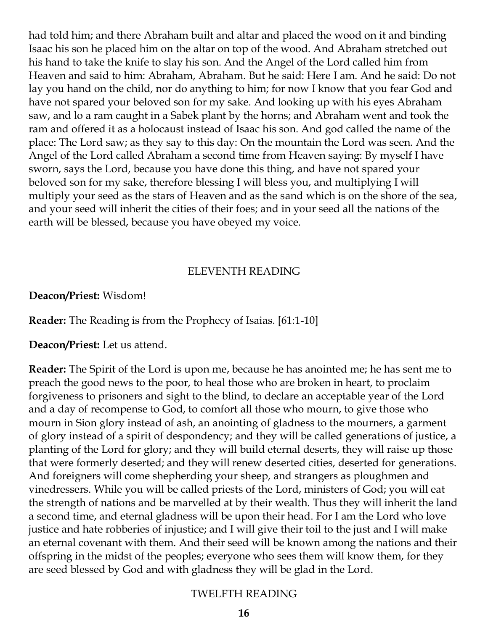had told him; and there Abraham built and altar and placed the wood on it and binding Isaac his son he placed him on the altar on top of the wood. And Abraham stretched out his hand to take the knife to slay his son. And the Angel of the Lord called him from Heaven and said to him: Abraham, Abraham. But he said: Here I am. And he said: Do not lay you hand on the child, nor do anything to him; for now I know that you fear God and have not spared your beloved son for my sake. And looking up with his eyes Abraham saw, and lo a ram caught in a Sabek plant by the horns; and Abraham went and took the ram and offered it as a holocaust instead of Isaac his son. And god called the name of the place: The Lord saw; as they say to this day: On the mountain the Lord was seen. And the Angel of the Lord called Abraham a second time from Heaven saying: By myself I have sworn, says the Lord, because you have done this thing, and have not spared your beloved son for my sake, therefore blessing I will bless you, and multiplying I will multiply your seed as the stars of Heaven and as the sand which is on the shore of the sea, and your seed will inherit the cities of their foes; and in your seed all the nations of the earth will be blessed, because you have obeyed my voice.

### ELEVENTH READING

### **Deacon/Priest:** Wisdom!

**Reader:** The Reading is from the Prophecy of Isaias. [61:1-10]

**Deacon/Priest:** Let us attend.

**Reader:** The Spirit of the Lord is upon me, because he has anointed me; he has sent me to preach the good news to the poor, to heal those who are broken in heart, to proclaim forgiveness to prisoners and sight to the blind, to declare an acceptable year of the Lord and a day of recompense to God, to comfort all those who mourn, to give those who mourn in Sion glory instead of ash, an anointing of gladness to the mourners, a garment of glory instead of a spirit of despondency; and they will be called generations of justice, a planting of the Lord for glory; and they will build eternal deserts, they will raise up those that were formerly deserted; and they will renew deserted cities, deserted for generations. And foreigners will come shepherding your sheep, and strangers as ploughmen and vinedressers. While you will be called priests of the Lord, ministers of God; you will eat the strength of nations and be marvelled at by their wealth. Thus they will inherit the land a second time, and eternal gladness will be upon their head. For I am the Lord who love justice and hate robberies of injustice; and I will give their toil to the just and I will make an eternal covenant with them. And their seed will be known among the nations and their offspring in the midst of the peoples; everyone who sees them will know them, for they are seed blessed by God and with gladness they will be glad in the Lord.

#### TWELFTH READING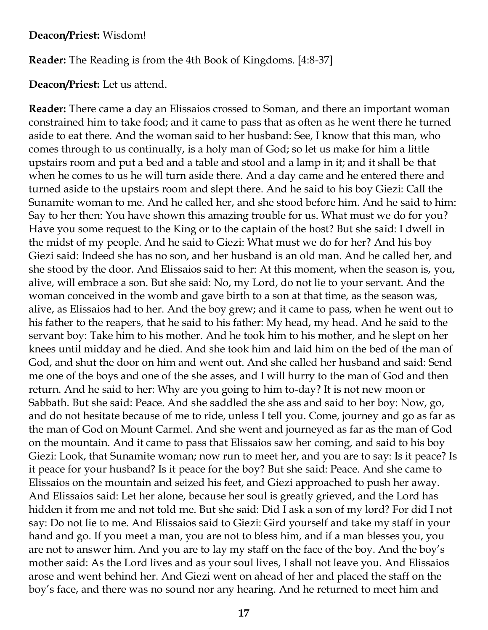#### **Deacon/Priest:** Wisdom!

### **Reader:** The Reading is from the 4th Book of Kingdoms. [4:8-37]

#### **Deacon/Priest:** Let us attend.

**Reader:** There came a day an Elissaios crossed to Soman, and there an important woman constrained him to take food; and it came to pass that as often as he went there he turned aside to eat there. And the woman said to her husband: See, I know that this man, who comes through to us continually, is a holy man of God; so let us make for him a little upstairs room and put a bed and a table and stool and a lamp in it; and it shall be that when he comes to us he will turn aside there. And a day came and he entered there and turned aside to the upstairs room and slept there. And he said to his boy Giezi: Call the Sunamite woman to me. And he called her, and she stood before him. And he said to him: Say to her then: You have shown this amazing trouble for us. What must we do for you? Have you some request to the King or to the captain of the host? But she said: I dwell in the midst of my people. And he said to Giezi: What must we do for her? And his boy Giezi said: Indeed she has no son, and her husband is an old man. And he called her, and she stood by the door. And Elissaios said to her: At this moment, when the season is, you, alive, will embrace a son. But she said: No, my Lord, do not lie to your servant. And the woman conceived in the womb and gave birth to a son at that time, as the season was, alive, as Elissaios had to her. And the boy grew; and it came to pass, when he went out to his father to the reapers, that he said to his father: My head, my head. And he said to the servant boy: Take him to his mother. And he took him to his mother, and he slept on her knees until midday and he died. And she took him and laid him on the bed of the man of God, and shut the door on him and went out. And she called her husband and said: Send me one of the boys and one of the she asses, and I will hurry to the man of God and then return. And he said to her: Why are you going to him to-day? It is not new moon or Sabbath. But she said: Peace. And she saddled the she ass and said to her boy: Now, go, and do not hesitate because of me to ride, unless I tell you. Come, journey and go as far as the man of God on Mount Carmel. And she went and journeyed as far as the man of God on the mountain. And it came to pass that Elissaios saw her coming, and said to his boy Giezi: Look, that Sunamite woman; now run to meet her, and you are to say: Is it peace? Is it peace for your husband? Is it peace for the boy? But she said: Peace. And she came to Elissaios on the mountain and seized his feet, and Giezi approached to push her away. And Elissaios said: Let her alone, because her soul is greatly grieved, and the Lord has hidden it from me and not told me. But she said: Did I ask a son of my lord? For did I not say: Do not lie to me. And Elissaios said to Giezi: Gird yourself and take my staff in your hand and go. If you meet a man, you are not to bless him, and if a man blesses you, you are not to answer him. And you are to lay my staff on the face of the boy. And the boy's mother said: As the Lord lives and as your soul lives, I shall not leave you. And Elissaios arose and went behind her. And Giezi went on ahead of her and placed the staff on the boy's face, and there was no sound nor any hearing. And he returned to meet him and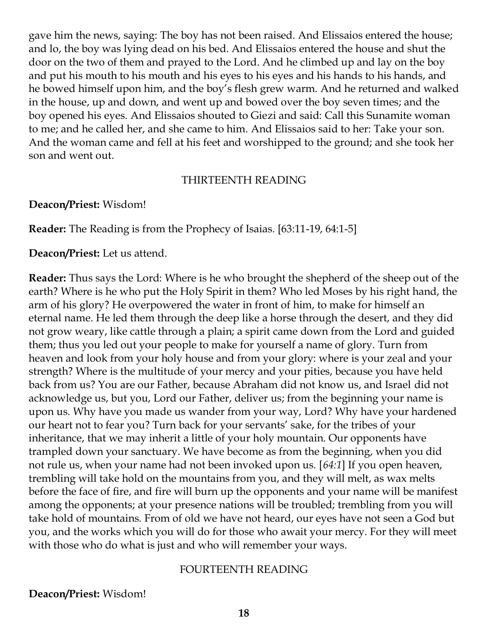gave him the news, saying: The boy has not been raised. And Elissaios entered the house; and lo, the boy was lying dead on his bed. And Elissaios entered the house and shut the door on the two of them and prayed to the Lord. And he climbed up and lay on the boy and put his mouth to his mouth and his eyes to his eyes and his hands to his hands, and he bowed himself upon him, and the boy's flesh grew warm. And he returned and walked in the house, up and down, and went up and bowed over the boy seven times; and the boy opened his eyes. And Elissaios shouted to Giezi and said: Call this Sunamite woman to me; and he called her, and she came to him. And Elissaios said to her: Take your son. And the woman came and fell at his feet and worshipped to the ground; and she took her son and went out.

### THIRTEENTH READING

## **Deacon/Priest:** Wisdom!

**Reader:** The Reading is from the Prophecy of Isaias. [63:11-19, 64:1-5]

### **Deacon/Priest:** Let us attend.

**Reader:** Thus says the Lord: Where is he who brought the shepherd of the sheep out of the earth? Where is he who put the Holy Spirit in them? Who led Moses by his right hand, the arm of his glory? He overpowered the water in front of him, to make for himself an eternal name. He led them through the deep like a horse through the desert, and they did not grow weary, like cattle through a plain; a spirit came down from the Lord and guided them; thus you led out your people to make for yourself a name of glory. Turn from heaven and look from your holy house and from your glory: where is your zeal and your strength? Where is the multitude of your mercy and your pities, because you have held back from us? You are our Father, because Abraham did not know us, and Israel did not acknowledge us, but you, Lord our Father, deliver us; from the beginning your name is upon us. Why have you made us wander from your way, Lord? Why have your hardened our heart not to fear you? Turn back for your servants' sake, for the tribes of your inheritance, that we may inherit a little of your holy mountain. Our opponents have trampled down your sanctuary. We have become as from the beginning, when you did not rule us, when your name had not been invoked upon us. [*64:1*] If you open heaven, trembling will take hold on the mountains from you, and they will melt, as wax melts before the face of fire, and fire will burn up the opponents and your name will be manifest among the opponents; at your presence nations will be troubled; trembling from you will take hold of mountains. From of old we have not heard, our eyes have not seen a God but you, and the works which you will do for those who await your mercy. For they will meet with those who do what is just and who will remember your ways.

### FOURTEENTH READING

## **Deacon/Priest:** Wisdom!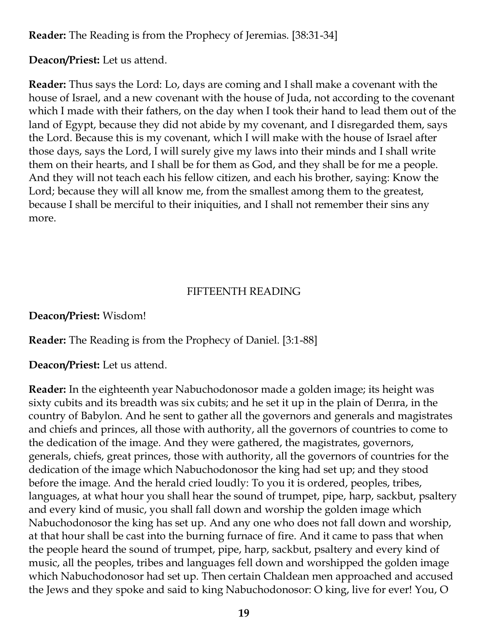**Reader:** The Reading is from the Prophecy of Jeremias. [38:31-34]

**Deacon/Priest:** Let us attend.

**Reader:** Thus says the Lord: Lo, days are coming and I shall make a covenant with the house of Israel, and a new covenant with the house of Juda, not according to the covenant which I made with their fathers, on the day when I took their hand to lead them out of the land of Egypt, because they did not abide by my covenant, and I disregarded them, says the Lord. Because this is my covenant, which I will make with the house of Israel after those days, says the Lord, I will surely give my laws into their minds and I shall write them on their hearts, and I shall be for them as God, and they shall be for me a people. And they will not teach each his fellow citizen, and each his brother, saying: Know the Lord; because they will all know me, from the smallest among them to the greatest, because I shall be merciful to their iniquities, and I shall not remember their sins any more.

## FIFTEENTH READING

**Deacon/Priest:** Wisdom!

**Reader:** The Reading is from the Prophecy of Daniel. [3:1-88]

## **Deacon/Priest:** Let us attend.

**Reader:** In the eighteenth year Nabuchodonosor made a golden image; its height was sixty cubits and its breadth was six cubits; and he set it up in the plain of Deпra, in the country of Babylon. And he sent to gather all the governors and generals and magistrates and chiefs and princes, all those with authority, all the governors of countries to come to the dedication of the image. And they were gathered, the magistrates, governors, generals, chiefs, great princes, those with authority, all the governors of countries for the dedication of the image which Nabuchodonosor the king had set up; and they stood before the image. And the herald cried loudly: To you it is ordered, peoples, tribes, languages, at what hour you shall hear the sound of trumpet, pipe, harp, sackbut, psaltery and every kind of music, you shall fall down and worship the golden image which Nabuchodonosor the king has set up. And any one who does not fall down and worship, at that hour shall be cast into the burning furnace of fire. And it came to pass that when the people heard the sound of trumpet, pipe, harp, sackbut, psaltery and every kind of music, all the peoples, tribes and languages fell down and worshipped the golden image which Nabuchodonosor had set up. Then certain Chaldean men approached and accused the Jews and they spoke and said to king Nabuchodonosor: O king, live for ever! You, O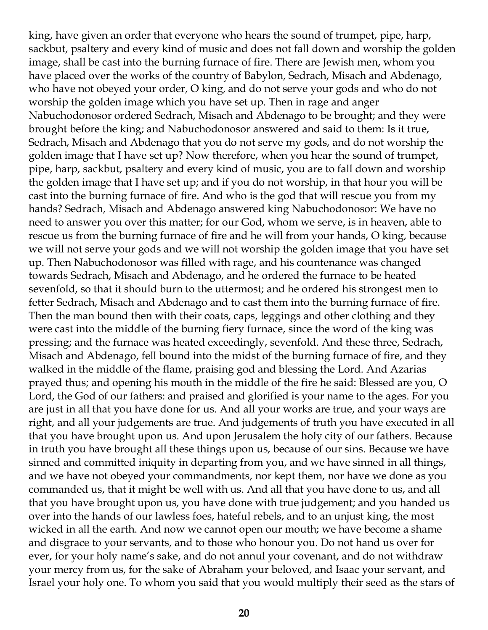king, have given an order that everyone who hears the sound of trumpet, pipe, harp, sackbut, psaltery and every kind of music and does not fall down and worship the golden image, shall be cast into the burning furnace of fire. There are Jewish men, whom you have placed over the works of the country of Babylon, Sedrach, Misach and Abdenago, who have not obeyed your order, O king, and do not serve your gods and who do not worship the golden image which you have set up. Then in rage and anger Nabuchodonosor ordered Sedrach, Misach and Abdenago to be brought; and they were brought before the king; and Nabuchodonosor answered and said to them: Is it true, Sedrach, Misach and Abdenago that you do not serve my gods, and do not worship the golden image that I have set up? Now therefore, when you hear the sound of trumpet, pipe, harp, sackbut, psaltery and every kind of music, you are to fall down and worship the golden image that I have set up; and if you do not worship, in that hour you will be cast into the burning furnace of fire. And who is the god that will rescue you from my hands? Sedrach, Misach and Abdenago answered king Nabuchodonosor: We have no need to answer you over this matter; for our God, whom we serve, is in heaven, able to rescue us from the burning furnace of fire and he will from your hands, O king, because we will not serve your gods and we will not worship the golden image that you have set up. Then Nabuchodonosor was filled with rage, and his countenance was changed towards Sedrach, Misach and Abdenago, and he ordered the furnace to be heated sevenfold, so that it should burn to the uttermost; and he ordered his strongest men to fetter Sedrach, Misach and Abdenago and to cast them into the burning furnace of fire. Then the man bound then with their coats, caps, leggings and other clothing and they were cast into the middle of the burning fiery furnace, since the word of the king was pressing; and the furnace was heated exceedingly, sevenfold. And these three, Sedrach, Misach and Abdenago, fell bound into the midst of the burning furnace of fire, and they walked in the middle of the flame, praising god and blessing the Lord. And Azarias prayed thus; and opening his mouth in the middle of the fire he said: Blessed are you, O Lord, the God of our fathers: and praised and glorified is your name to the ages. For you are just in all that you have done for us. And all your works are true, and your ways are right, and all your judgements are true. And judgements of truth you have executed in all that you have brought upon us. And upon Jerusalem the holy city of our fathers. Because in truth you have brought all these things upon us, because of our sins. Because we have sinned and committed iniquity in departing from you, and we have sinned in all things, and we have not obeyed your commandments, nor kept them, nor have we done as you commanded us, that it might be well with us. And all that you have done to us, and all that you have brought upon us, you have done with true judgement; and you handed us over into the hands of our lawless foes, hateful rebels, and to an unjust king, the most wicked in all the earth. And now we cannot open our mouth; we have become a shame and disgrace to your servants, and to those who honour you. Do not hand us over for ever, for your holy name's sake, and do not annul your covenant, and do not withdraw your mercy from us, for the sake of Abraham your beloved, and Isaac your servant, and Israel your holy one. To whom you said that you would multiply their seed as the stars of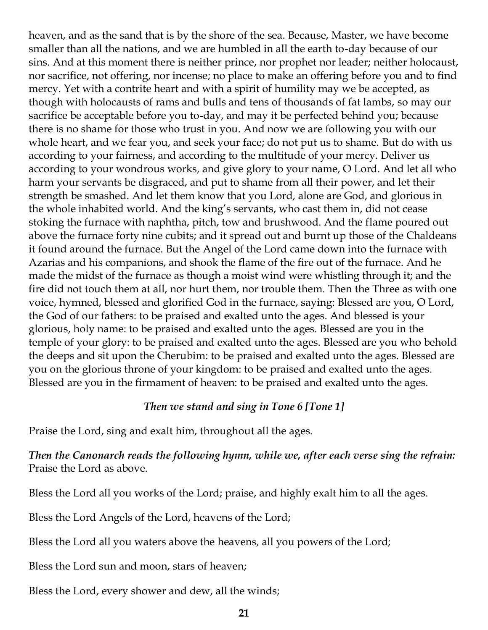heaven, and as the sand that is by the shore of the sea. Because, Master, we have become smaller than all the nations, and we are humbled in all the earth to-day because of our sins. And at this moment there is neither prince, nor prophet nor leader; neither holocaust, nor sacrifice, not offering, nor incense; no place to make an offering before you and to find mercy. Yet with a contrite heart and with a spirit of humility may we be accepted, as though with holocausts of rams and bulls and tens of thousands of fat lambs, so may our sacrifice be acceptable before you to-day, and may it be perfected behind you; because there is no shame for those who trust in you. And now we are following you with our whole heart, and we fear you, and seek your face; do not put us to shame. But do with us according to your fairness, and according to the multitude of your mercy. Deliver us according to your wondrous works, and give glory to your name, O Lord. And let all who harm your servants be disgraced, and put to shame from all their power, and let their strength be smashed. And let them know that you Lord, alone are God, and glorious in the whole inhabited world. And the king's servants, who cast them in, did not cease stoking the furnace with naphtha, pitch, tow and brushwood. And the flame poured out above the furnace forty nine cubits; and it spread out and burnt up those of the Chaldeans it found around the furnace. But the Angel of the Lord came down into the furnace with Azarias and his companions, and shook the flame of the fire out of the furnace. And he made the midst of the furnace as though a moist wind were whistling through it; and the fire did not touch them at all, nor hurt them, nor trouble them. Then the Three as with one voice, hymned, blessed and glorified God in the furnace, saying: Blessed are you, O Lord, the God of our fathers: to be praised and exalted unto the ages. And blessed is your glorious, holy name: to be praised and exalted unto the ages. Blessed are you in the temple of your glory: to be praised and exalted unto the ages. Blessed are you who behold the deeps and sit upon the Cherubim: to be praised and exalted unto the ages. Blessed are you on the glorious throne of your kingdom: to be praised and exalted unto the ages. Blessed are you in the firmament of heaven: to be praised and exalted unto the ages.

### *Then we stand and sing in Tone 6 [Tone 1]*

Praise the Lord, sing and exalt him, throughout all the ages.

## *Then the Canonarch reads the following hymn, while we, after each verse sing the refrain:*  Praise the Lord as above.

Bless the Lord all you works of the Lord; praise, and highly exalt him to all the ages.

Bless the Lord Angels of the Lord, heavens of the Lord;

Bless the Lord all you waters above the heavens, all you powers of the Lord;

Bless the Lord sun and moon, stars of heaven;

Bless the Lord, every shower and dew, all the winds;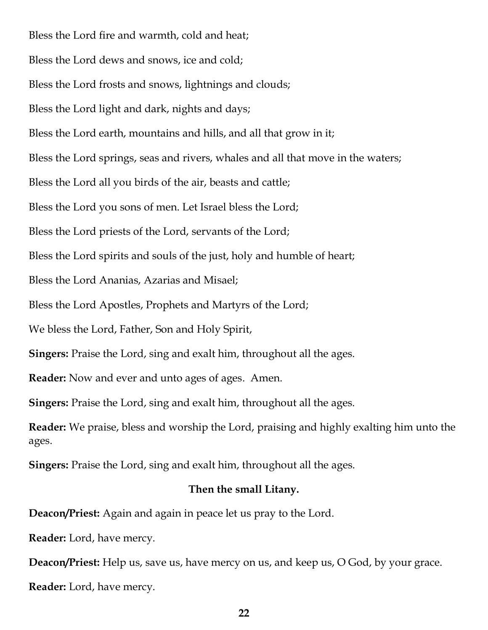Bless the Lord fire and warmth, cold and heat; Bless the Lord dews and snows, ice and cold; Bless the Lord frosts and snows, lightnings and clouds; Bless the Lord light and dark, nights and days; Bless the Lord earth, mountains and hills, and all that grow in it; Bless the Lord springs, seas and rivers, whales and all that move in the waters; Bless the Lord all you birds of the air, beasts and cattle; Bless the Lord you sons of men. Let Israel bless the Lord; Bless the Lord priests of the Lord, servants of the Lord; Bless the Lord spirits and souls of the just, holy and humble of heart; Bless the Lord Ananias, Azarias and Misael; Bless the Lord Apostles, Prophets and Martyrs of the Lord; We bless the Lord, Father, Son and Holy Spirit, **Singers:** Praise the Lord, sing and exalt him, throughout all the ages. **Reader:** Now and ever and unto ages of ages. Amen. **Singers:** Praise the Lord, sing and exalt him, throughout all the ages. **Reader:** We praise, bless and worship the Lord, praising and highly exalting him unto the ages. **Singers:** Praise the Lord, sing and exalt him, throughout all the ages. **Then the small Litany. Deacon/Priest:** Again and again in peace let us pray to the Lord.

**Reader:** Lord, have mercy.

**Deacon/Priest:** Help us, save us, have mercy on us, and keep us, O God, by your grace.

**Reader:** Lord, have mercy.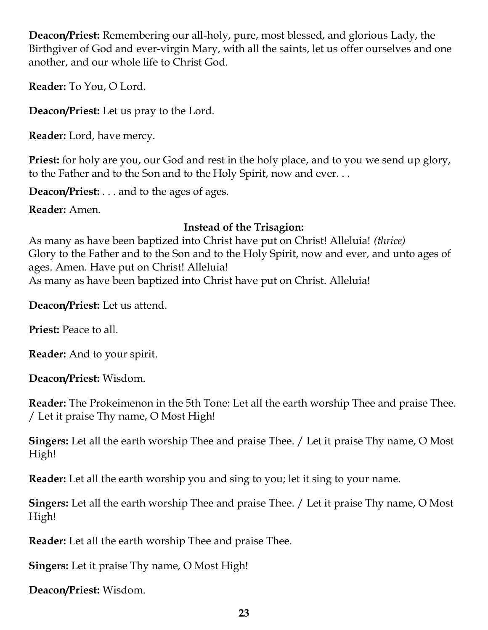**Deacon/Priest:** Remembering our all-holy, pure, most blessed, and glorious Lady, the Birthgiver of God and ever-virgin Mary, with all the saints, let us offer ourselves and one another, and our whole life to Christ God.

**Reader:** To You, O Lord.

**Deacon/Priest:** Let us pray to the Lord.

**Reader:** Lord, have mercy.

**Priest:** for holy are you, our God and rest in the holy place, and to you we send up glory, to the Father and to the Son and to the Holy Spirit, now and ever. . .

**Deacon/Priest:** . . . and to the ages of ages.

**Reader:** Amen.

## **Instead of the Trisagion:**

As many as have been baptized into Christ have put on Christ! Alleluia! *(thrice)*  Glory to the Father and to the Son and to the Holy Spirit, now and ever, and unto ages of ages. Amen. Have put on Christ! Alleluia! As many as have been baptized into Christ have put on Christ. Alleluia!

**Deacon/Priest:** Let us attend.

**Priest:** Peace to all.

**Reader:** And to your spirit.

**Deacon/Priest:** Wisdom.

**Reader:** The Prokeimenon in the 5th Tone: Let all the earth worship Thee and praise Thee. / Let it praise Thy name, O Most High!

**Singers:** Let all the earth worship Thee and praise Thee. / Let it praise Thy name, O Most High!

**Reader:** Let all the earth worship you and sing to you; let it sing to your name.

**Singers:** Let all the earth worship Thee and praise Thee. / Let it praise Thy name, O Most High!

**Reader:** Let all the earth worship Thee and praise Thee.

**Singers:** Let it praise Thy name, O Most High!

**Deacon/Priest:** Wisdom.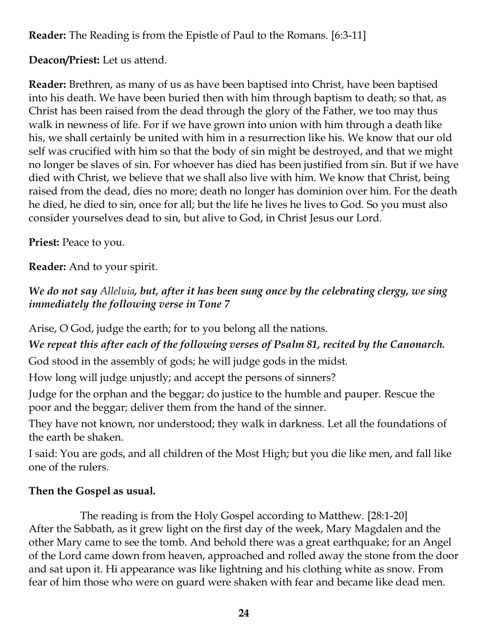**Reader:** The Reading is from the Epistle of Paul to the Romans. [6:3-11]

**Deacon/Priest:** Let us attend.

**Reader:** Brethren, as many of us as have been baptised into Christ, have been baptised into his death. We have been buried then with him through baptism to death; so that, as Christ has been raised from the dead through the glory of the Father, we too may thus walk in newness of life. For if we have grown into union with him through a death like his, we shall certainly be united with him in a resurrection like his. We know that our old self was crucified with him so that the body of sin might be destroyed, and that we might no longer be slaves of sin. For whoever has died has been justified from sin. But if we have died with Christ, we believe that we shall also live with him. We know that Christ, being raised from the dead, dies no more; death no longer has dominion over him. For the death he died, he died to sin, once for all; but the life he lives he lives to God. So you must also consider yourselves dead to sin, but alive to God, in Christ Jesus our Lord.

**Priest:** Peace to you.

**Reader:** And to your spirit.

# *We do not say Alleluia, but, after it has been sung once by the celebrating clergy, we sing immediately the following verse in Tone 7*

Arise, O God, judge the earth; for to you belong all the nations.

# *We repeat this after each of the following verses of Psalm 81, recited by the Canonarch.* God stood in the assembly of gods; he will judge gods in the midst.

How long will judge unjustly; and accept the persons of sinners?

Judge for the orphan and the beggar; do justice to the humble and pauper. Rescue the poor and the beggar; deliver them from the hand of the sinner.

They have not known, nor understood; they walk in darkness. Let all the foundations of the earth be shaken.

I said: You are gods, and all children of the Most High; but you die like men, and fall like one of the rulers.

# **Then the Gospel as usual.**

The reading is from the Holy Gospel according to Matthew. [28:1-20] After the Sabbath, as it grew light on the first day of the week, Mary Magdalen and the other Mary came to see the tomb. And behold there was a great earthquake; for an Angel of the Lord came down from heaven, approached and rolled away the stone from the door and sat upon it. Hi appearance was like lightning and his clothing white as snow. From fear of him those who were on guard were shaken with fear and became like dead men.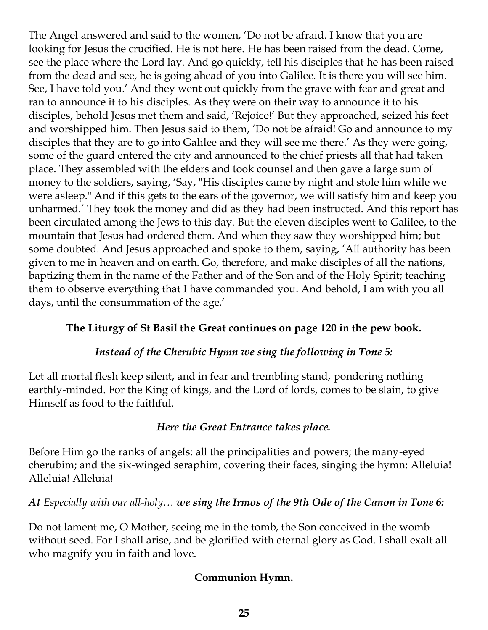The Angel answered and said to the women, 'Do not be afraid. I know that you are looking for Jesus the crucified. He is not here. He has been raised from the dead. Come, see the place where the Lord lay. And go quickly, tell his disciples that he has been raised from the dead and see, he is going ahead of you into Galilee. It is there you will see him. See, I have told you.' And they went out quickly from the grave with fear and great and ran to announce it to his disciples. As they were on their way to announce it to his disciples, behold Jesus met them and said, 'Rejoice!' But they approached, seized his feet and worshipped him. Then Jesus said to them, 'Do not be afraid! Go and announce to my disciples that they are to go into Galilee and they will see me there.' As they were going, some of the guard entered the city and announced to the chief priests all that had taken place. They assembled with the elders and took counsel and then gave a large sum of money to the soldiers, saying, 'Say, "His disciples came by night and stole him while we were asleep." And if this gets to the ears of the governor, we will satisfy him and keep you unharmed.' They took the money and did as they had been instructed. And this report has been circulated among the Jews to this day. But the eleven disciples went to Galilee, to the mountain that Jesus had ordered them. And when they saw they worshipped him; but some doubted. And Jesus approached and spoke to them, saying, 'All authority has been given to me in heaven and on earth. Go, therefore, and make disciples of all the nations, baptizing them in the name of the Father and of the Son and of the Holy Spirit; teaching them to observe everything that I have commanded you. And behold, I am with you all days, until the consummation of the age.'

## **The Liturgy of St Basil the Great continues on page 120 in the pew book.**

### *Instead of the Cherubic Hymn we sing the following in Tone 5:*

Let all mortal flesh keep silent, and in fear and trembling stand, pondering nothing earthly-minded. For the King of kings, and the Lord of lords, comes to be slain, to give Himself as food to the faithful.

### *Here the Great Entrance takes place.*

Before Him go the ranks of angels: all the principalities and powers; the many-eyed cherubim; and the six-winged seraphim, covering their faces, singing the hymn: Alleluia! Alleluia! Alleluia!

### *At Especially with our all-holy… we sing the Irmos of the 9th Ode of the Canon in Tone 6:*

Do not lament me, O Mother, seeing me in the tomb, the Son conceived in the womb without seed. For I shall arise, and be glorified with eternal glory as God. I shall exalt all who magnify you in faith and love.

## **Communion Hymn.**